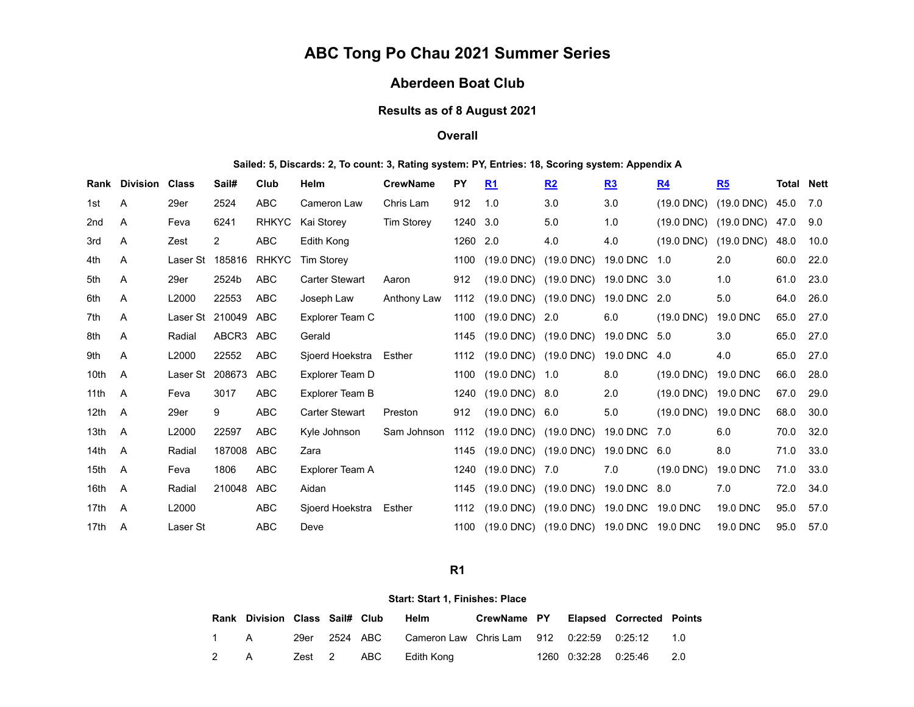# **ABC Tong Po Chau 2021 Summer Series**

## **Aberdeen Boat Club**

### **Results as of 8 August 2021**

#### **Overall**

#### **Sailed: 5, Discards: 2, To count: 3, Rating system: PY, Entries: 18, Scoring system: Appendix A**

|                  | <b>Rank Division Class</b> |                 | Sail#          | Club         | <b>Helm</b>            | <b>CrewName</b> | <b>PY</b> | R1                                        | R2                                      | R <sub>3</sub> | R <sub>4</sub> | R5           | <b>Total Nett</b> |      |
|------------------|----------------------------|-----------------|----------------|--------------|------------------------|-----------------|-----------|-------------------------------------------|-----------------------------------------|----------------|----------------|--------------|-------------------|------|
| 1st              | Α                          | 29er            | 2524           | <b>ABC</b>   | Cameron Law            | Chris Lam       | 912       | 1.0                                       | 3.0                                     | 3.0            | $(19.0$ DNC)   | $(19.0$ DNC) | 45.0              | 7.0  |
| 2 <sub>nd</sub>  | A                          | Feva            | 6241           | <b>RHKYC</b> | Kai Storey             | Tim Storey      | 1240 3.0  |                                           | 5.0                                     | 1.0            | $(19.0$ DNC)   | $(19.0$ DNC) | 47.0              | 9.0  |
| 3rd              | Α                          | Zest            | $\overline{2}$ | <b>ABC</b>   | Edith Kong             |                 | 1260 2.0  |                                           | 4.0                                     | 4.0            | $(19.0$ DNC)   | $(19.0$ DNC) | 48.0              | 10.0 |
| 4th              | A                          | Laser St 185816 |                | <b>RHKYC</b> | <b>Tim Storey</b>      |                 | 1100      | $(19.0$ DNC)                              | $(19.0$ DNC)                            | 19.0 DNC 1.0   |                | 2.0          | 60.0              | 22.0 |
| 5th              | Α                          | 29er            | 2524b          | <b>ABC</b>   | <b>Carter Stewart</b>  | Aaron           | 912       |                                           | (19.0 DNC) (19.0 DNC) 19.0 DNC 3.0      |                |                | 1.0          | 61.0              | 23.0 |
| 6th              | A                          | L2000           | 22553          | <b>ABC</b>   | Joseph Law             | Anthony Law     | 1112      | $(19.0 \text{ DNC})$ $(19.0 \text{ DNC})$ |                                         | 19.0 DNC 2.0   |                | 5.0          | 64.0              | 26.0 |
| 7th              | A                          | Laser St 210049 |                | ABC          | Explorer Team C        |                 | 1100      | $(19.0 \text{ DNC})$ 2.0                  |                                         | 6.0            | $(19.0$ DNC)   | 19.0 DNC     | 65.0              | 27.0 |
| 8th              | A                          | Radial          | ABCR3 ABC      |              | Gerald                 |                 | 1145      | (19.0 DNC) (19.0 DNC)                     |                                         | 19.0 DNC 5.0   |                | 3.0          | 65.0              | 27.0 |
| 9th              | A                          | L2000           | 22552          | <b>ABC</b>   | Sjoerd Hoekstra Esther |                 |           | 1112 (19.0 DNC) (19.0 DNC)                |                                         | 19.0 DNC 4.0   |                | 4.0          | 65.0              | 27.0 |
| 10 <sub>th</sub> | A                          | Laser St        | 208673         | <b>ABC</b>   | Explorer Team D        |                 |           | 1100 (19.0 DNC) 1.0                       |                                         | 8.0            | $(19.0$ DNC)   | 19.0 DNC     | 66.0              | 28.0 |
| 11 <sup>th</sup> | A                          | Feva            | 3017           | <b>ABC</b>   | Explorer Team B        |                 | 1240      | $(19.0 \text{ DNC})$ 8.0                  |                                         | 2.0            | $(19.0$ DNC)   | 19.0 DNC     | 67.0              | 29.0 |
| 12 <sub>th</sub> | A                          | 29er            | 9              | <b>ABC</b>   | <b>Carter Stewart</b>  | Preston         | 912       | $(19.0 \text{ DNC})$ 6.0                  |                                         | 5.0            | $(19.0$ DNC)   | 19.0 DNC     | 68.0              | 30.0 |
| 13 <sub>th</sub> | A                          | L2000           | 22597          | <b>ABC</b>   | Kyle Johnson           | Sam Johnson     | 1112      | (19.0 DNC) (19.0 DNC)                     |                                         | 19.0 DNC 7.0   |                | 6.0          | 70.0              | 32.0 |
| 14 <sub>th</sub> | A                          | Radial          | 187008         | <b>ABC</b>   | Zara                   |                 | 1145      | $(19.0 \text{ DNC})$ $(19.0 \text{ DNC})$ |                                         | 19.0 DNC 6.0   |                | 8.0          | 71.0              | 33.0 |
| 15 <sub>th</sub> | A                          | Feva            | 1806           | <b>ABC</b>   | Explorer Team A        |                 | 1240      | $(19.0 \text{ DNC})$ 7.0                  |                                         | 7.0            | $(19.0$ DNC)   | 19.0 DNC     | 71.0              | 33.0 |
| 16th             | A                          | Radial          | 210048         | <b>ABC</b>   | Aidan                  |                 | 1145      | $(19.0 \text{ DNC})$ $(19.0 \text{ DNC})$ |                                         | 19.0 DNC 8.0   |                | 7.0          | 72.0              | 34.0 |
| 17th             | A                          | L2000           |                | <b>ABC</b>   | Sjoerd Hoekstra        | Esther          | 1112      |                                           | (19.0 DNC) (19.0 DNC) 19.0 DNC 19.0 DNC |                |                | 19.0 DNC     | 95.0              | 57.0 |
| 17th             | A                          | Laser St        |                | <b>ABC</b>   | Deve                   |                 | 1100      |                                           | (19.0 DNC) (19.0 DNC) 19.0 DNC 19.0 DNC |                |                | 19.0 DNC     | 95.0              | 57.0 |

#### **R1**

#### **Start: Start 1, Finishes: Place**

<span id="page-0-0"></span>

|  | Rank Division Class Sail# Club |  | Helm                                                        | CrewName PY Elapsed Corrected Points |  |                          |  |
|--|--------------------------------|--|-------------------------------------------------------------|--------------------------------------|--|--------------------------|--|
|  | 1 A                            |  | 29er 2524 ABC Cameron Law Chris Lam 912 0:22:59 0:25:12 1.0 |                                      |  |                          |  |
|  | 2 A                            |  | Zest 2 ABC Edith Kong                                       |                                      |  | 1260 0:32:28 0:25:46 2.0 |  |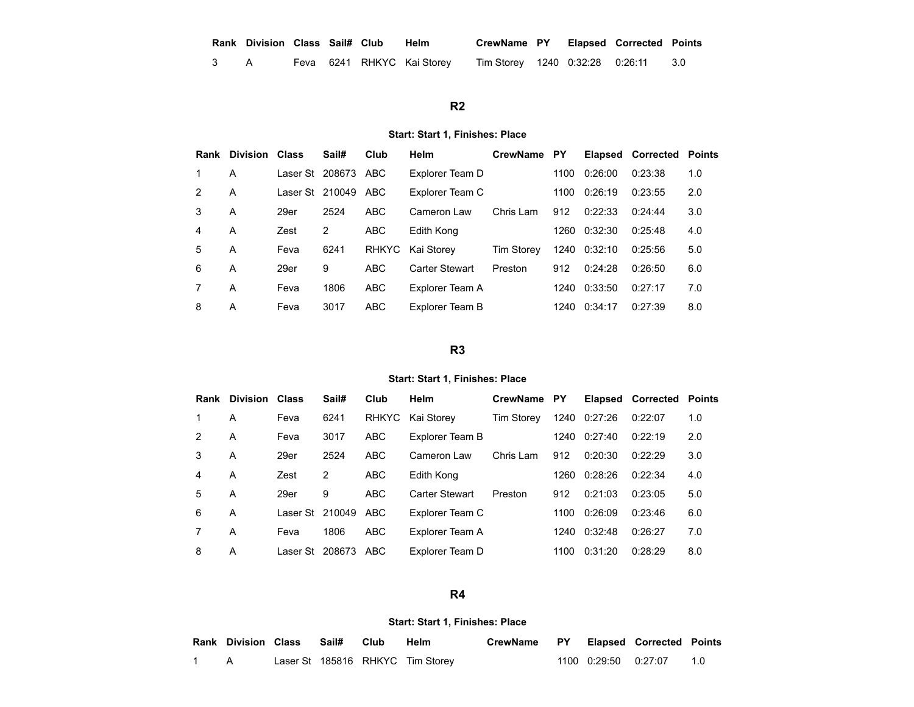| Rank Division Class Sail# Club Helm |  |  | CrewName PY Elapsed Corrected Points |  |  |
|-------------------------------------|--|--|--------------------------------------|--|--|
|                                     |  |  |                                      |  |  |

A Feva 6241 RHKYC Kai Storey Tim Storey 1240 0:32:28 0:26:11 3.0

## **R2**

#### **Start: Start 1, Finishes: Place**

<span id="page-1-0"></span>

| Rank          | Division Class |                     | Sail# | Club         | Helm                  | <b>CrewName</b>   | <b>PY</b> | Elapsed      | <b>Corrected</b> | <b>Points</b> |
|---------------|----------------|---------------------|-------|--------------|-----------------------|-------------------|-----------|--------------|------------------|---------------|
|               | A              | Laser St 208673 ABC |       |              | Explorer Team D       |                   | 1100      | 0:26:00      | 0:23:38          | 1.0           |
| $\mathcal{P}$ | A              | Laser St 210049     |       | ABC          | Explorer Team C       |                   | 1100      | 0:26:19      | 0:23:55          | 2.0           |
| 3             | A              | 29er                | 2524  | <b>ABC</b>   | Cameron Law           | Chris Lam         | 912       | 0:22:33      | 0:24:44          | 3.0           |
| 4             | A              | Zest                | 2     | <b>ABC</b>   | Edith Kong            |                   | 1260      | 0:32:30      | 0:25:48          | 4.0           |
| 5             | A              | Feva                | 6241  | <b>RHKYC</b> | Kai Storey            | <b>Tim Storey</b> |           | 1240 0:32:10 | 0:25:56          | 5.0           |
| 6             | A              | 29er                | 9     | <b>ABC</b>   | <b>Carter Stewart</b> | Preston           | 912       | 0:24:28      | 0:26:50          | 6.0           |
|               | A              | Feva                | 1806  | <b>ABC</b>   | Explorer Team A       |                   | 1240      | 0:33:50      | 0:27:17          | 7.0           |
| 8             | A              | Feva                | 3017  | <b>ABC</b>   | Explorer Team B       |                   | 1240      | 0:34:17      | 0:27:39          | 8.0           |

#### **R3**

#### **Start: Start 1, Finishes: Place**

<span id="page-1-1"></span>

| Rank | <b>Division</b> | <b>Class</b>    | Sail#  | Club         | Helm                  | <b>CrewName</b>   | PY   | <b>Elapsed</b> | Corrected | <b>Points</b> |
|------|-----------------|-----------------|--------|--------------|-----------------------|-------------------|------|----------------|-----------|---------------|
| 1    | A               | Feva            | 6241   | <b>RHKYC</b> | Kai Storev            | <b>Tim Storev</b> | 1240 | 0:27:26        | 0:22:07   | 1.0           |
| 2    | A               | Feva            | 3017   | <b>ABC</b>   | Explorer Team B       |                   | 1240 | 0:27:40        | 0:22:19   | 2.0           |
| 3    | A               | 29er            | 2524   | <b>ABC</b>   | Cameron Law           | Chris Lam         | 912  | 0:20:30        | 0:22:29   | 3.0           |
| 4    | A               | Zest            | 2      | <b>ABC</b>   | Edith Kong            |                   | 1260 | 0:28:26        | 0:22:34   | 4.0           |
| 5    | A               | 29er            | 9      | ABC          | <b>Carter Stewart</b> | Preston           | 912  | 0:21:03        | 0:23:05   | 5.0           |
| 6    | A               | Laser St 210049 |        | ABC          | Explorer Team C       |                   | 1100 | 0:26:09        | 0:23:46   | 6.0           |
|      | A               | Feva            | 1806   | ABC          | Explorer Team A       |                   | 1240 | 0:32:48        | 0:26:27   | 7.0           |
| 8    | A               | Laser St        | 208673 | <b>ABC</b>   | Explorer Team D       |                   | 1100 | 0:31:20        | 0:28:29   | 8.0           |

### **R4**

#### **Start: Start 1, Finishes: Place**

<span id="page-1-2"></span>

| Rank Division Class Sail# Club |  | Helm                             | CrewName PY Elapsed Corrected Points |                        |     |
|--------------------------------|--|----------------------------------|--------------------------------------|------------------------|-----|
|                                |  | Laser St 185816 RHKYC Tim Storey |                                      | 1100  0:29:50  0:27:07 | 1.0 |